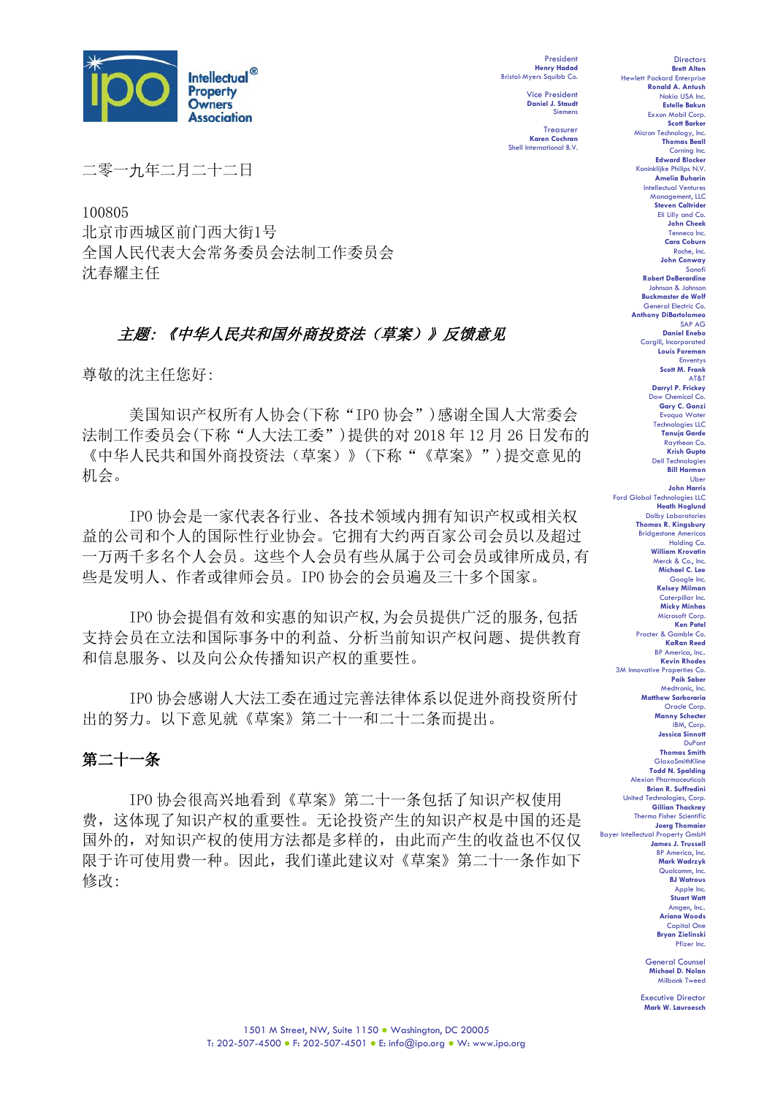

President **Henry Hadad** Bristol-Myers Squibb Co.

> Vice President **Daniel J. Staudt** Siemens

**Treasurer Karen Cochran** Shell International B.V.

二零一九年二月二十二日

100805 北京市西城区前门西大街1号 全国人民代表大会常务委员会法制工作委员会 沈春耀主任

# 主题: 《中华人民共和国外商投资法(草案)》反馈意见

尊敬的沈主任您好:

美国知识产权所有人协会(下称"IPO 协会")感谢全国人大常委会 法制工作委员会(下称"人大法工委")提供的对 2018 年 12 月 26 日发布的 《中华人民共和国外商投资法(草案)》(下称"《草案》")提交意见的 机会。

IPO 协会是一家代表各行业、各技术领域内拥有知识产权或相关权 益的公司和个人的国际性行业协会。它拥有大约两百家公司会员以及超过 一万两千多名个人会员。这些个人会员有些从属于公司会员或律所成员,有 些是发明人、作者或律师会员。IPO 协会的会员遍及三十多个国家。

IPO 协会提倡有效和实惠的知识产权,为会员提供广泛的服务,包括 支持会员在立法和国际事务中的利益、分析当前知识产权问题、提供教育 和信息服务、以及向公众传播知识产权的重要性。

IPO 协会感谢人大法工委在通过完善法律体系以促进外商投资所付 出的努力。以下意见就《草案》第二十一和二十二条而提出。

# 第二十一条

IPO 协会很高兴地看到《草案》第二十一条包括了知识产权使用 费,这体现了知识产权的重要性。无论投资产生的知识产权是中国的还是 国外的,对知识产权的使用方法都是多样的,由此而产生的收益也不仅仅 限于许可使用费一种。因此,我们谨此建议对《草案》第二十一条作如下 修改:

**Brett Alten** Hewlett Packard Enterprise **Ronald A. Antush** Nokia USA Inc. **Estelle Bakun** Exxon Mobil Corp. **Scott Barker** Micron Technology, Inc. **Thomas Beall** Corning Inc. **Edward Blocker** Koninklijke Philips N.V. **Amelia Buharin** Intellectual Ventures Manage **Steven Caltrider** Eli Lilly and Co. **John Cheek** Tenneco Inc. **Cara Coburn** Roche, Inc. **John Conway** Sanofi **Robert DeBerardine** Johnson & Johnson **Buckmaster de Wolf** General Electric Co. **Anthony DiBartolomeo** SAP AG **Daniel Enebo** Cargill, Incorporated **Louis Foreman** Enventys **Scott M. Frank** AT&T **Darryl P. Frickey** Dow Chemical Co. **Gary C. Ganzi** Evoqua Water Technologies LLC **Tanuja Garde** Raytheon Co. **Krish Gupta** Dell Technologies **Bill Harmon** Uber **John Harris** Ford Global Technologies LLC **Heath Hoglund** Dolby Laboratories **Thomas R. Kingsbury** Bridgestone Americas Holding Co. **William Krovatin** Merck & Co., Inc. **Michael C. Lee** Google Inc. **Kelsey Milman** Caterpillar Inc. **Micky Minhas** Microsoft Corp. **Ken Patel** Procter & Gamble Co. **KaRan Reed** BP America, Inc.. **Kevin Rhodes** 3M Innovative Properties Co. **Paik Saber** Medtronic, Inc. **Matthew Sarboraria** Oracle Corp. **Manny Schecter** IBM, Corp. **Jessica Sinnott** DuPont **Thomas Smith** GlaxoSmithKline **Todd N. Spalding** Alexion Pharmaceuticals **Brian R. Suffredini** United Technologies, Corp. **Gillian Thackray** Thermo Fisher Scientifi **Joerg Thomaier** Bayer Intellectual Property GmbH **James J. Trussell** BP America, Inc. **Mark Wadrzyk** Qualcomm, Inc. **BJ Watrous** Apple Inc. **Stuart Watt** Amgen, Inc.. **Ariana Woods** Capital One **Bryan Zielinski** Pfizer Inc.

**Directors** 

General Counsel **Michael D. Nolan** Milbank Tweed

Executive Director **Mark W. Lauroesch**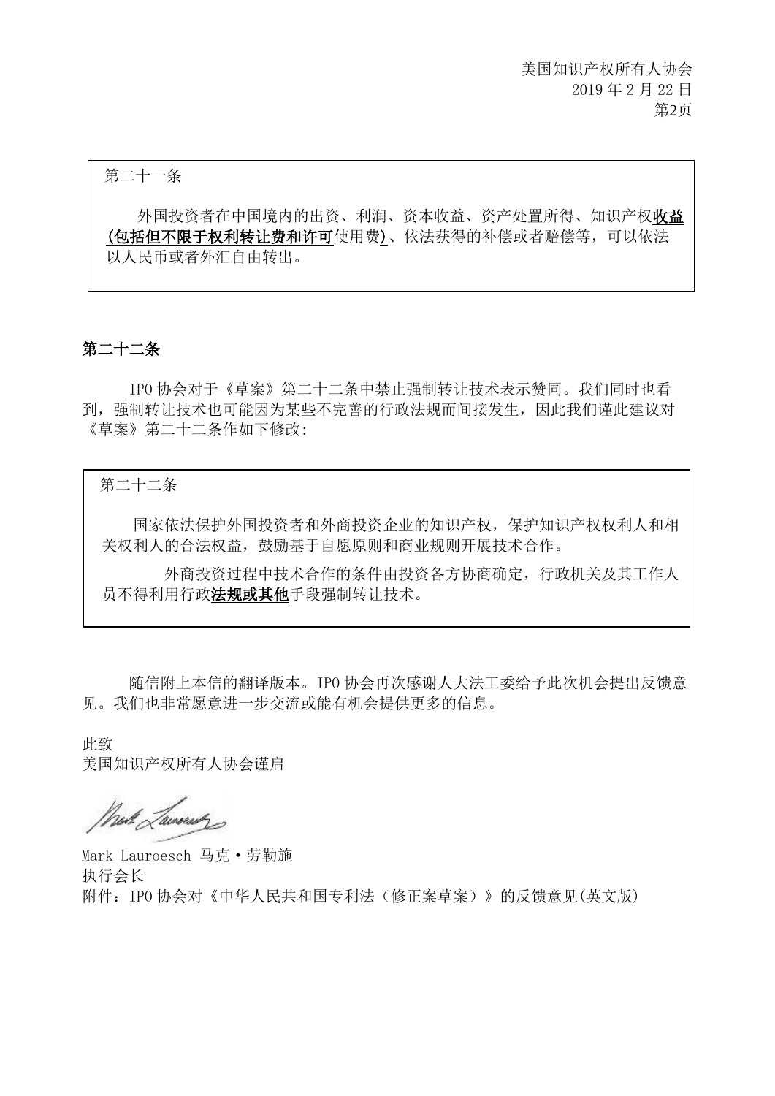第二十一条

外国投资者在中国境内的出资、利润、资本收益、资产处置所得、知识产权收益 (包括但不限于权利转让费和许可使用费)、依法获得的补偿或者赔偿等,可以依法 以人民币或者外汇自由转出。

## 第二十二条

IPO 协会对于《草案》第二十二条中禁止强制转让技术表示赞同。我们同时也看 到,强制转让技术也可能因为某些不完善的行政法规而间接发生,因此我们谨此建议对 《草案》第二十二条作如下修改:

#### 第二十二条

国家依法保护外国投资者和外商投资企业的知识产权,保护知识产权权利人和相 关权利人的合法权益,鼓励基于自愿原则和商业规则开展技术合作。

 外商投资过程中技术合作的条件由投资各方协商确定,行政机关及其工作人 员不得利用行政法规或其他手段强制转让技术。

随信附上本信的翻译版本。IPO 协会再次感谢人大法工委给予此次机会提出反馈意 见。我们也非常愿意进一步交流或能有机会提供更多的信息。

此致 美国知识产权所有人协会谨启

West Laureau

Mark Lauroesch 马克·劳勒施 执行会长 附件:IPO 协会对《中华人民共和国专利法(修正案草案)》的反馈意见(英文版)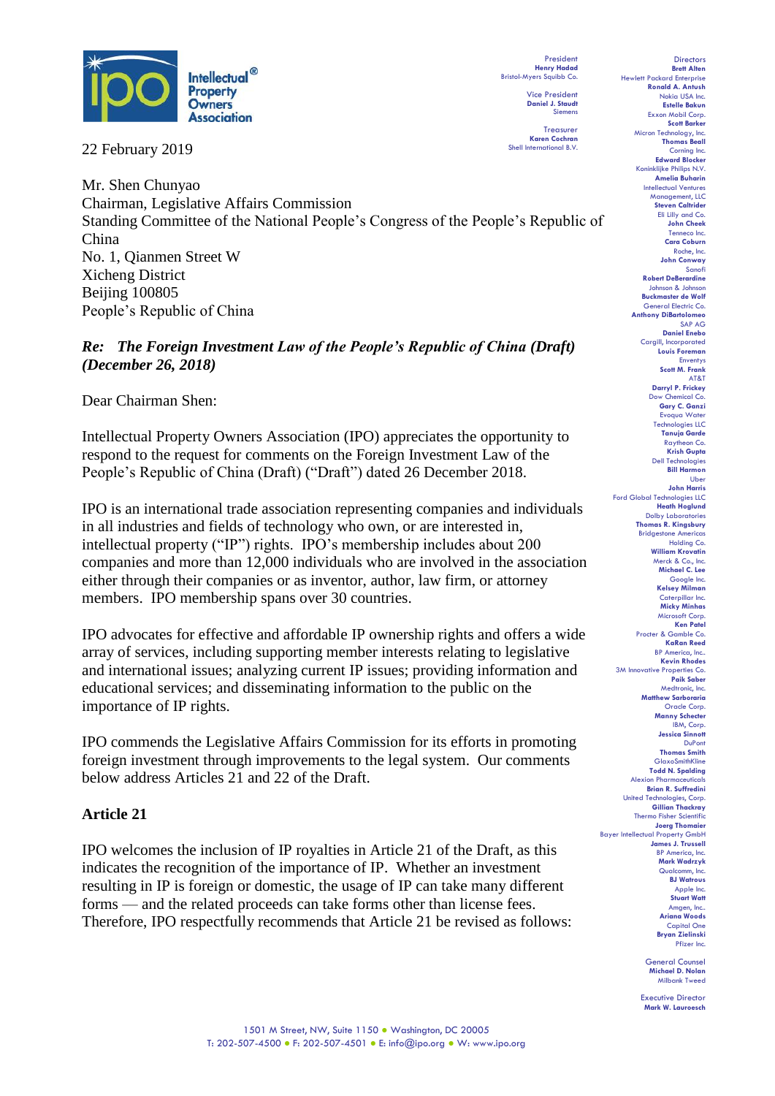

22 February 2019

President **Henry Hadad** Bristol-Myers Squibb Co.

> Vice President **Daniel J. Staudt** Siemens

**Treasurer Karen Cochran** Shell International B.V.

Mr. Shen Chunyao Chairman, Legislative Affairs Commission Standing Committee of the National People's Congress of the People's Republic of China No. 1, Qianmen Street W Xicheng District Beijing 100805 People's Republic of China

*Re: The Foreign Investment Law of the People's Republic of China (Draft) (December 26, 2018)*

Dear Chairman Shen:

Intellectual Property Owners Association (IPO) appreciates the opportunity to respond to the request for comments on the Foreign Investment Law of the People's Republic of China (Draft) ("Draft") dated 26 December 2018.

IPO is an international trade association representing companies and individuals in all industries and fields of technology who own, or are interested in, intellectual property ("IP") rights. IPO's membership includes about 200 companies and more than 12,000 individuals who are involved in the association either through their companies or as inventor, author, law firm, or attorney members. IPO membership spans over 30 countries.

IPO advocates for effective and affordable IP ownership rights and offers a wide array of services, including supporting member interests relating to legislative and international issues; analyzing current IP issues; providing information and educational services; and disseminating information to the public on the importance of IP rights.

IPO commends the Legislative Affairs Commission for its efforts in promoting foreign investment through improvements to the legal system. Our comments below address Articles 21 and 22 of the Draft.

## **Article 21**

IPO welcomes the inclusion of IP royalties in Article 21 of the Draft, as this indicates the recognition of the importance of IP. Whether an investment resulting in IP is foreign or domestic, the usage of IP can take many different forms — and the related proceeds can take forms other than license fees. Therefore, IPO respectfully recommends that Article 21 be revised as follows:

**Directors Brett Alten** Hewlett Packard Enterprise **Ronald A. Antush** Nokia USA Inc. **Estelle Bakun** Exxon Mobil Corp. **Scott Barker** Micron Technology, Inc. **Thomas Beall** Corning Inc. **Edward Blocker** Koninklijke Philips N.V. **Amelia Buharin** Intellectual Ventures Manage **Steven Caltrider** Eli Lilly and Co. **John Cheek** Tenneco Inc. **Cara Coburn** Roche, Inc. **John Conway** Sanofi **Robert DeBerardine** Johnson & Johnson **Buckmaster de Wolf** General Electric Co. **Anthony DiBartolomeo** SAP AG **Daniel Enebo** Cargill, Incorporated **Louis Foreman** Enventys **Scott M. Frank** AT&T **Darryl P. Frickey** Dow Chemical Co. **Gary C. Ganzi** Evoqua Water Technologies LLC **Tanuja Garde** Raytheon Co. **Krish Gupta** Dell Technologies **Bill Harmon** Uber **John Harris** Ford Global Technologies LLC **Heath Hoglund** Dolby Laboratories **Thomas R. Kingsbury** Bridgestone Americas Holding Co. **William Krovatin** Merck & Co., Inc. **Michael C. Lee** Google Inc. **Kelsey Milman** Caterpillar Inc. **Micky Minhas** Microsoft Corp. **Ken Patel** Procter & Gamble Co. **KaRan Reed** BP America, Inc.. **Kevin Rhodes** 3M Innovative Properties Co. **Paik Saber** Medtronic, Inc. **Matthew Sarboraria** Oracle Corp. **Manny Schecter** IBM, Corp. **Jessica Sinnott** DuPont **Thomas Smith** GlaxoSmithKline **Todd N. Spalding** Alexion Pharmaceuticals **Brian R. Suffredini** United Technologies, Corp. **Gillian Thackray** Thermo Fisher Scientifi **Joerg Thomaier** Bayer Intellectual Property GmbH **James J. Trussell** BP America, Inc. **Mark Wadrzyk** Qualcomm, Inc. **BJ Watrous** Apple Inc. **Stuart Watt** Amgen, Inc.. **Ariana Woods** Capital One **Bryan Zielinski** Pfizer Inc.

> General Counsel **Michael D. Nolan** Milbank Tweed

Executive Director **Mark W. Lauroesch**